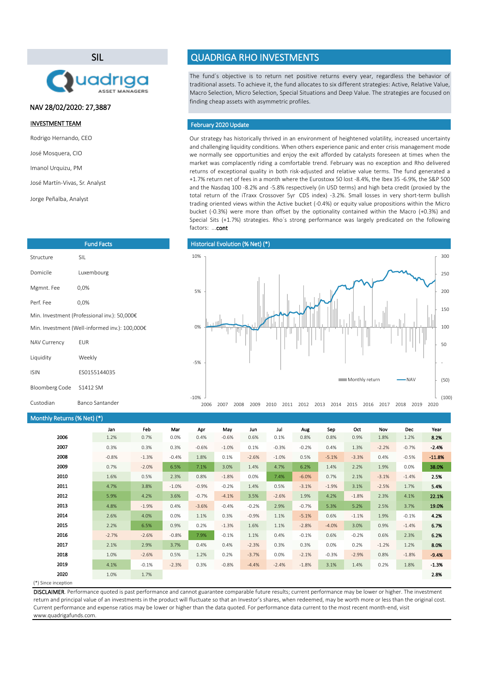SIL



## NAV 28/02/2020: 27,3887

### INVESTMENT TEAM

Rodrigo Hernando, CEO

José Mosquera, CIO

Imanol Urquizu, PM

José Martín-Vivas, Sr. Analyst

Jorge Peñalba, Analyst

| <b>Fund Facts</b>                              |                 |  |  |  |  |
|------------------------------------------------|-----------------|--|--|--|--|
| Structure                                      | <b>SII</b>      |  |  |  |  |
| Domicile                                       | Luxembourg      |  |  |  |  |
| Mgmnt. Fee                                     | 0,0%            |  |  |  |  |
| Perf Fee                                       | 0,0%            |  |  |  |  |
| Min. Investment (Professional inv.): 50,000€   |                 |  |  |  |  |
| Min. Investment (Well-informed inv.): 100,000€ |                 |  |  |  |  |
| <b>NAV Currency</b>                            | <b>FUR</b>      |  |  |  |  |
| Liquidity                                      | Weekly          |  |  |  |  |
| <b>ISIN</b>                                    | FS0155144035    |  |  |  |  |
| Bloomberg Code                                 | S1412 SM        |  |  |  |  |
| Custodian                                      | Banco Santander |  |  |  |  |

## $M_{\odot}$  Monthly Returns (%  $N_{\odot}$

| $J$ i iliiv nelui is (70 Nel) (11 |         |         |         |         |         |         |         |         |         |         |         |            |          |
|-----------------------------------|---------|---------|---------|---------|---------|---------|---------|---------|---------|---------|---------|------------|----------|
|                                   | Jan     | Feb     | Mar     | Apr     | May     | Jun     | Jul     | Aug     | Sep     | Oct     | Nov     | <b>Dec</b> | Year     |
| 2006                              | 1.2%    | 0.7%    | 0.0%    | 0.4%    | $-0.6%$ | 0.6%    | 0.1%    | 0.8%    | 0.8%    | 0.9%    | 1.8%    | 1.2%       | 8.2%     |
| 2007                              | 0.3%    | 0.3%    | 0.3%    | $-0.6%$ | $-1.0%$ | 0.1%    | $-0.3%$ | $-0.2%$ | 0.4%    | 1.3%    | $-2.2%$ | $-0.7%$    | $-2.4%$  |
| 2008                              | $-0.8%$ | $-1.3%$ | $-0.4%$ | 1.8%    | 0.1%    | $-2.6%$ | $-1.0%$ | 0.5%    | $-5.1%$ | $-3.3%$ | 0.4%    | $-0.5%$    | $-11.8%$ |
| 2009                              | 0.7%    | $-2.0%$ | 6.5%    | 7.1%    | 3.0%    | 1.4%    | 4.7%    | 6.2%    | 1.4%    | 2.2%    | 1.9%    | 0.0%       | 38.0%    |
| 2010                              | 1.6%    | 0.5%    | 2.3%    | 0.8%    | $-1.8%$ | 0.0%    | 7.4%    | $-6.0%$ | 0.7%    | 2.1%    | $-3.1%$ | $-1.4%$    | 2.5%     |
| 2011                              | 4.7%    | 3.8%    | $-1.0%$ | $-0.9%$ | $-0.2%$ | 1.4%    | 0.5%    | $-3.1%$ | $-1.9%$ | 3.1%    | $-2.5%$ | 1.7%       | 5.4%     |
| 2012                              | 5.9%    | 4.2%    | 3.6%    | $-0.7%$ | $-4.1%$ | 3.5%    | $-2.6%$ | 1.9%    | 4.2%    | $-1.8%$ | 2.3%    | 4.1%       | 22.1%    |
| 2013                              | 4.8%    | $-1.9%$ | 0.4%    | $-3.6%$ | $-0.4%$ | $-0.2%$ | 2.9%    | $-0.7%$ | 5.3%    | 5.2%    | 2.5%    | 3.7%       | 19.0%    |
| 2014                              | 2.6%    | 4.0%    | 0.0%    | 1.1%    | 0.3%    | $-0.9%$ | 1.1%    | $-5.1%$ | 0.6%    | $-1.1%$ | 1.9%    | $-0.1%$    | 4.2%     |
| 2015                              | 2.2%    | 6.5%    | 0.9%    | 0.2%    | $-1.3%$ | 1.6%    | 1.1%    | $-2.8%$ | $-4.0%$ | 3.0%    | 0.9%    | $-1.4%$    | 6.7%     |
| 2016                              | $-2.7%$ | $-2.6%$ | $-0.8%$ | 7.9%    | $-0.1%$ | 1.1%    | 0.4%    | $-0.1%$ | 0.6%    | $-0.2%$ | 0.6%    | 2.3%       | 6.2%     |
| 2017                              | 2.1%    | 2.9%    | 3.7%    | 0.4%    | 0.4%    | $-2.3%$ | 0.3%    | 0.3%    | 0.0%    | 0.2%    | $-1.2%$ | 1.2%       | 8.0%     |
| 2018                              | 1.0%    | $-2.6%$ | 0.5%    | 1.2%    | 0.2%    | $-3.7%$ | 0.0%    | $-2.1%$ | $-0.3%$ | $-2.9%$ | 0.8%    | $-1.8%$    | $-9.4%$  |
| 2019                              | 4.1%    | $-0.1%$ | $-2.3%$ | 0.3%    | $-0.8%$ | $-4.4%$ | $-2.4%$ | $-1.8%$ | 3.1%    | 1.4%    | 0.2%    | 1.8%       | $-1.3%$  |
| 2020                              | 1.0%    | 1.7%    |         |         |         |         |         |         |         |         |         |            | 2.8%     |
| Al Otaca a da a a a Afara         |         |         |         |         |         |         |         |         |         |         |         |            |          |

(\*) Since inception

DISCLAIMER. Performance quoted is past performance and cannot guarantee comparable future results; current performance may be lower or higher. The investment return and principal value of an investments in the product will fluctuate so that an Investor's shares, when redeemed, may be worth more or less than the original cost. Current performance and expense ratios may be lower or higher than the data quoted. For performance data current to the most recent month-end, visit www.quadrigafunds.com.

# QUADRIGA RHO INVESTMENTS

The fund´s objective is to return net positive returns every year, regardless the behavior of traditional assets. To achieve it, the fund allocates to six different strategies: Active, Relative Value, Macro Selection, Micro Selection, Special Situations and Deep Value. The strategies are focused on finding cheap assets with asymmetric profiles.

#### February 2020 Update

Our strategy has historically thrived in an environment of heightened volatility, increased uncertainty and challenging liquidity conditions. When others experience panic and enter crisis management mode we normally see opportunities and enjoy the exit afforded by catalysts foreseen at times when the market was complacently riding a comfortable trend. February was no exception and Rho delivered returns of exceptional quality in both risk-adjusted and relative value terms. The fund generated a +1.7% return net of fees in a month where the Eurostoxx 50 lost -8.4%, the Ibex 35 -6.9%, the S&P 500 and the Nasdaq 100 -8.2% and -5.8% respectively (in USD terms) and high beta credit (proxied by the total return of the iTraxx Crossover 5yr CDS index) -3.2%. Small losses in very short-term bullish trading oriented views within the Active bucket (-0.4%) or equity value propositions within the Micro bucket (-0.3%) were more than offset by the optionality contained within the Macro (+0.3%) and Special Sits (+1.7%) strategies. Rho´s strong performance was largely predicated on the following factors: ...cont

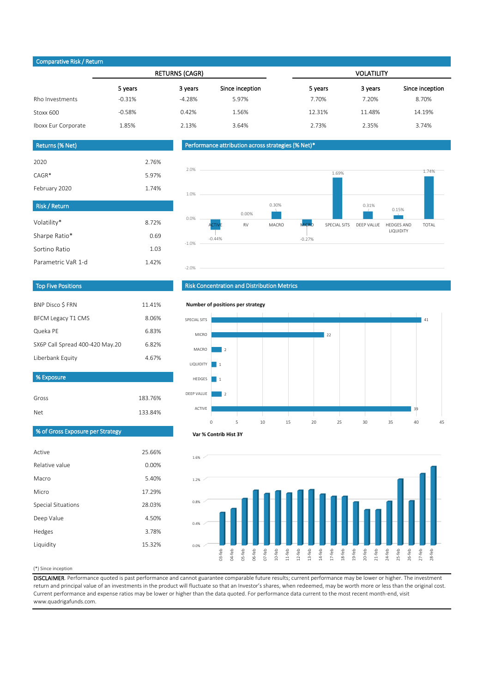## Comparative Risk / Return

|                     |           | <b>RETURNS (CAGR)</b> |                 | <b>VOLATILITY</b> |         |                 |  |  |
|---------------------|-----------|-----------------------|-----------------|-------------------|---------|-----------------|--|--|
|                     | 5 years   | 3 years               | Since inception | 5 years           | 3 years | Since inception |  |  |
| Rho Investments     | $-0.31%$  | -4.28%                | 5.97%           | 7.70%             | 7.20%   | 8.70%           |  |  |
| Stoxx 600           | $-0.58\%$ | 0.42%                 | 1.56%           | 12.31%            | 11.48%  | 14.19%          |  |  |
| Iboxx Eur Corporate | 1.85%     | 2.13%                 | 3.64%           | 2.73%             | 2.35%   | 3.74%           |  |  |
|                     |           |                       |                 |                   |         |                 |  |  |

### Returns (% Net)

| 2020          | 2.76% |
|---------------|-------|
| $CAGR*$       | 5.97% |
| February 2020 | 1.74% |

8.72% 0.69 1.03 1.42%

-2.0%

### Performance attribution across strategies (% Net)\*



### Top Five Positions

Volatility\* Sharpe Ratio\* Sortino Ratio Parametric VaR 1-d

Risk / Return

| <b>BNP Disco S FRN</b>          | 11.41% |
|---------------------------------|--------|
| BFCM Legacy T1 CMS              | 8.06%  |
| Queka PE                        | 6.83%  |
| SX6P Call Spread 400-420 May.20 | 6.82%  |
| Liberbank Equity                | 4.67%  |
|                                 |        |
|                                 |        |

#### % Exposure

| Gross      | 183.76% |
|------------|---------|
| <b>Net</b> | 133.84% |

## Risk Concentration and Distribution Metrics



#### % of Gross Exposure per Strategy

| Active             | 25.66% |
|--------------------|--------|
| Relative value     | 0.00%  |
| Macro              | 5.40%  |
| Micro              | 17.29% |
| Special Situations | 28.03% |
| Deep Value         | 4.50%  |
| Hedges             | 3.78%  |
| Liquidity          | 15.32% |





#### (\*) Since inception

DISCLAIMER. Performance quoted is past performance and cannot guarantee comparable future results; current performance may be lower or higher. The investment return and principal value of an investments in the product will fluctuate so that an Investor's shares, when redeemed, may be worth more or less than the original cost. Current performance and expense ratios may be lower or higher than the data quoted. For performance data current to the most recent month-end, visit www.quadrigafunds.com.

0.0%

0.4%

0.8%

1.2%